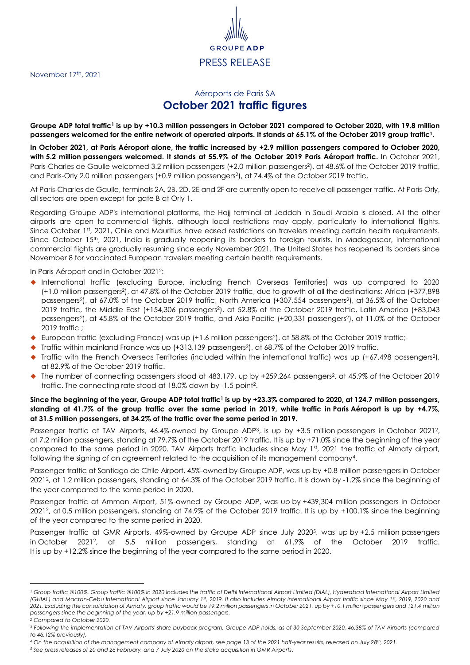November 17<sup>th</sup>, 2021

## <span id="page-0-0"></span>Aéroports de Paris SA **October 2021 traffic figures**

PRESS RELEASE

GRO

**Groupe ADP total traffic<sup>1</sup> is up by +10.3 million passengers in October 2021 compared to October 2020, with 19.8 million passengers welcomed for the entire network of operated airports. It stands at 65.1% of the October 2019 group traffi[c](#page-0-0)<sup>1</sup>.**

**In October 2021, at Paris Aéroport alone, the traffic increased by +2.9 million passengers compared to October 2020, with 5.2 million passengers welcomed. It stands at 55.9% of the October 2019 Paris Aéroport traffic.** In October 2021, Paris-Charles de Gaulle welcomed 3.2 million passengers (+2.0 million passengers<sup>2</sup>[\)](#page-0-1), at 48.6% of the October 2019 traffic, and Pari[s](#page-0-1)-Orly 2.0 million passengers (+0.9 million passengers<sup>2</sup>), at 74.4% of the October 2019 traffic.

At Paris-Charles de Gaulle, terminals 2A, 2B, 2D, 2E and 2F are currently open to receive all passenger traffic. At Paris-Orly, all sectors are open except for gate B at Orly 1.

Regarding Groupe ADP's international platforms, the Hajj terminal at Jeddah in Saudi Arabia is closed. All the other airports are open to commercial flights, although local restrictions may apply, particularly to international flights. Since October 1st, 2021, Chile and Mauritius have eased restrictions on travelers meeting certain health requirements. Since October 15<sup>th</sup>, 2021, India is gradually reopening its borders to foreign tourists. In Madagascar, international commercial flights are gradually resuming since early November 2021. The United States has reopened its borders since November 8 for vaccinated European travelers meeting certain health requirements.

<span id="page-0-1"></span>In Paris Aéroport and in October 2021<sup>2</sup> :

- International traffic (excluding Europe, including French Overseas Territories) was up compared to 2020 (+1.0 million passenger[s](#page-0-1)<sup>2</sup> ), at 47.8% of the October 2019 traffic, due to growth of all the destinations: Africa (+377,898 passengers<sup>2</sup> [\)](#page-0-1), at 67.0% of the October 2019 traffic, North America (+307,554 passengers<sup>2</sup> [\)](#page-0-1), at 36.5% of the October 2019 traffic, the Middle East (+154,306 passengers<sup>2</sup> [\)](#page-0-1), at 52.8% of the October 2019 traffic, Latin America (+83,043 passengers<sup>2</sup> [\)](#page-0-1), at 45.8% of the October 2019 traffic, and Asia-Pacific (+20,331 passenger[s](#page-0-1)<sup>2</sup> ), at 11.0% of the October 2019 traffic ;
- ◆ European traffic (excluding France) wa[s](#page-0-1) up (+1.6 million passengers<sup>2</sup>), at 58.8% of the October 2019 traffic;
- ◆ Traffic within mainland France wa[s](#page-0-1) up (+313,139 passengers<sup>2</sup>), at 68.7% of the October 2019 traffic.
- $\blacklozenge$  Traffic with the French Overseas Territories (included within the international traffic) was up (+67,498 passengers<sup>[2](#page-0-1)</sup>), at 82.9% of the October 2019 traffic.
- $\bullet$  The number of connecting pa[s](#page-0-1)sengers stood at 483,179, up by +259,264 passengers<sup>2</sup>, at 45.9% of the October 2019 [t](#page-0-1)raffic. The connecting rate stood at 18.0% down by -1.5 point<sup>2</sup>.

## **Since the beginning of the year, Groupe ADP total traffi[c](#page-0-0)<sup>1</sup> is up by +23.3% compared to 2020, at 124.7 million passengers, standing at 41.7% of the group traffic over the same period in 2019, while traffic in Paris Aéroport is up by +4.7%, at 31.5 million passengers, at 34.2% of the traffic over the same period in 2019.**

Passenger traffic at TAV Airports, 46.4%-owned by Groupe ADP<sup>3</sup>, is up by +3.5 million passengers in October 202[1](#page-0-1)<sup>2</sup>, at 7.2 million passengers, standing at 79.7% of the October 2019 traffic. It is up by +71.0% since the beginning of the year compared to the same period in 2020. TAV Airports traffic includes since May 1st, 2021 the traffic of Almaty airport, following the signing of an agreement related to the acquisition of its management company<sup>4</sup> .

Passenger traffic at Santiago de Chile Airport, 45%-owned by Groupe ADP, was up by +0.8 million passengers in October 2021<sup>2</sup> [,](#page-0-1) at 1.2 million passengers, standing at 64.3% of the October 2019 traffic. It is down by -1.2% since the beginning of the year compared to the same period in 2020.

Passenger traffic at Amman Airport, 51%-owned by Groupe ADP, was up by +439,304 million passengers in October 2021<sup>2</sup> [,](#page-0-1) at 0.5 million passengers, standing at 74.9% of the October 2019 traffic. It is up by +100.1% since the beginning of the year compared to the same period in 2020.

Passenger traffic at GMR Airports, 49%-owned by Groupe ADP since July 2020<sup>5</sup> , was up by +2.5 million passengers in October 2021<sup>2</sup> [,](#page-0-1) at 5.5 million passengers, standing at 61.9% of the October 2019 traffic. It is up by +12.2% since the beginning of the year compared to the same period in 2020.

 $\overline{\phantom{a}}$ 

*<sup>5</sup> See press releases of 20 and 26 February, and 7 July 2020 on the stake acquisition in GMR Airports.*

*<sup>1</sup> Group traffic @100%. Group traffic @100% in 2020 includes the traffic of Delhi International Airport Limited (DIAL), Hyderabad International Airport Limited (GHIAL) and Mactan-Cebu International Airport since January 1 st, 2019. It also includes Almaty International Airport traffic since May 1st, 2019, 2020 and 2021. Excluding the consolidation of Almaty, group traffic would be 19.2 million passengers in October 2021, up by +10.1 million passengers and 121.4 million passengers since the beginning of the year, up by +21.9 million passengers.*

*<sup>2</sup> Compared to October 2020.*

*<sup>3</sup> Following the implementation of TAV Airports' share buyback program, Groupe ADP holds, as of 30 September 2020, 46.38% of TAV Airports (compared to 46.12% previously).*

*<sup>4</sup> On the acquisition of the management company of Almaty airport, see page 13 of the 2021 half-year results, released on July 28th, 2021.*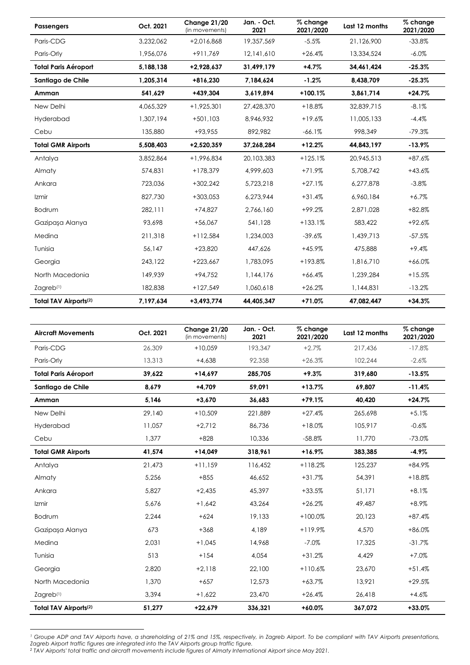| <b>Passengers</b>                 | Oct. 2021 | Change 21/20<br>(in movements) | Jan. - Oct.<br>2021 | % change<br>2021/2020 | Last 12 months | % change<br>2021/2020 |
|-----------------------------------|-----------|--------------------------------|---------------------|-----------------------|----------------|-----------------------|
| Paris-CDG                         | 3,232,062 | +2,016,868                     | 19,357,569          | $-5.5%$               | 21,126,900     | $-33.8%$              |
| Paris-Orly                        | 1,956,076 | +911,769                       | 12,141,610          | $+26.4%$              | 13,334,524     | $-6.0\%$              |
| <b>Total Paris Aéroport</b>       | 5,188,138 | +2,928,637                     | 31,499,179          | $+4.7%$               | 34,461,424     | $-25.3%$              |
| Santiago de Chile                 | 1,205,314 | +816,230                       | 7,184,624           | $-1.2%$               | 8,438,709      | $-25.3%$              |
| Amman                             | 541,629   | +439,304                       | 3,619,894           | $+100.1%$             | 3,861,714      | $+24.7%$              |
| New Delhi                         | 4,065,329 | $+1,925,301$                   | 27,428,370          | $+18.8%$              | 32.839.715     | $-8.1%$               |
| Hyderabad                         | 1,307,194 | $+501,103$                     | 8,946,932           | $+19.6%$              | 11,005,133     | $-4.4%$               |
| Cebu                              | 135,880   | +93,955                        | 892,982             | $-66.1%$              | 998,349        | $-79.3%$              |
| <b>Total GMR Airports</b>         | 5,508,403 | +2,520,359                     | 37,268,284          | $+12.2%$              | 44,843,197     | $-13.9%$              |
| Antalya                           | 3,852,864 | +1,996,834                     | 20,103,383          | $+125.1%$             | 20,945,513     | $+87.6%$              |
| Almaty                            | 574.831   | $+178.379$                     | 4,999,603           | $+71.9%$              | 5,708,742      | $+43.6%$              |
| Ankara                            | 723,036   | $+302,242$                     | 5,723,218           | $+27.1%$              | 6,277,878      | $-3.8%$               |
| Izmir                             | 827.730   | $+303,053$                     | 6,273,944           | $+31.4%$              | 6,960,184      | $+6.7%$               |
| Bodrum                            | 282,111   | $+74,827$                      | 2,766,160           | $+99.2%$              | 2,871,028      | $+82.8%$              |
| Gazipasa Alanya                   | 93,698    | $+56,067$                      | 541,128             | $+133.1%$             | 583,422        | $+92.6%$              |
| Medina                            | 211,318   | $+112,584$                     | 1,234,003           | $-39.6%$              | 1,439,713      | $-57.5%$              |
| Tunisia                           | 56,147    | $+23,820$                      | 447,626             | $+45.9%$              | 475,888        | $+9.4%$               |
| Georgia                           | 243,122   | $+223,667$                     | 1,783,095           | +193.8%               | 1,816,710      | $+66.0%$              |
| North Macedonia                   | 149,939   | $+94,752$                      | 1,144,176           | $+66.4%$              | 1,239,284      | $+15.5%$              |
| Zagreb <sup>(1)</sup>             | 182,838   | $+127,549$                     | 1,060,618           | $+26.2%$              | 1,144,831      | $-13.2%$              |
| Total TAV Airports <sup>(2)</sup> | 7,197,634 | $+3,493,774$                   | 44.405.347          | $+71.0%$              | 47,082,447     | $+34.3%$              |

| <b>Aircraft Movements</b>         | Oct. 2021 | Change 21/20<br>(in movements) | Jan. - Oct.<br>2021 | % change<br>2021/2020 | Last 12 months | % change<br>2021/2020 |
|-----------------------------------|-----------|--------------------------------|---------------------|-----------------------|----------------|-----------------------|
| Paris-CDG                         | 26,309    | $+10.059$                      | 193,347             | $+2.7%$               | 217,436        | $-17.8%$              |
| Paris-Orly                        | 13,313    | $+4.638$                       | 92,358              | $+26.3%$              | 102.244        | $-2.6%$               |
| <b>Total Paris Aéroport</b>       | 39,622    | $+14,697$                      | 285,705             | $+9.3%$               | 319,680        | $-13.5%$              |
| Santiago de Chile                 | 8,679     | $+4,709$                       | 59,091              | $+13.7%$              | 69,807         | $-11.4%$              |
| Amman                             | 5,146     | $+3,670$                       | 36,683              | $+79.1%$              | 40.420         | $+24.7%$              |
| New Delhi                         | 29,140    | $+10,509$                      | 221,889             | $+27.4%$              | 265,698        | $+5.1%$               |
| Hyderabad                         | 11,057    | $+2,712$                       | 86,736              | $+18.0%$              | 105,917        | $-0.6%$               |
| Cebu                              | 1,377     | $+828$                         | 10,336              | $-58.8%$              | 11,770         | $-73.0%$              |
| <b>Total GMR Airports</b>         | 41,574    | $+14,049$                      | 318,961             | $+16.9%$              | 383,385        | $-4.9%$               |
| Antalya                           | 21.473    | $+11.159$                      | 116,452             | $+118.2%$             | 125.237        | $+84.9%$              |
| Almaty                            | 5,256     | $+855$                         | 46,652              | $+31.7%$              | 54,391         | $+18.8%$              |
| Ankara                            | 5.827     | $+2,435$                       | 45,397              | $+33.5%$              | 51,171         | $+8.1%$               |
| Izmir                             | 5.676     | $+1.642$                       | 43,264              | $+26.2%$              | 49,487         | $+8.9%$               |
| Bodrum                            | 2,244     | $+624$                         | 19,133              | $+100.0%$             | 20,123         | $+87.4%$              |
| Gazipaşa Alanya                   | 673       | $+368$                         | 4,189               | $+119.9%$             | 4,570          | $+86.0%$              |
| Medina                            | 2.031     | $+1,045$                       | 14,968              | $-7.0%$               | 17,325         | $-31.7%$              |
| Tunisia                           | 513       | $+154$                         | 4,054               | $+31.2%$              | 4,429          | $+7.0%$               |
| Georgia                           | 2,820     | $+2,118$                       | 22,100              | $+110.6%$             | 23,670         | $+51.4%$              |
| North Macedonia                   | 1,370     | $+657$                         | 12,573              | $+63.7%$              | 13,921         | $+29.5%$              |
| Zagreb <sup>(1)</sup>             | 3,394     | $+1,622$                       | 23,470              | $+26.4%$              | 26,418         | $+4.6%$               |
| Total TAV Airports <sup>(2)</sup> | 51,277    | $+22,679$                      | 336,321             | $+60.0%$              | 367,072        | $+33.0%$              |

**<sup>.</sup>** *<sup>1</sup> Groupe ADP and TAV Airports have, a shareholding of 21% and 15%, respectively, in Zagreb Airport. To be compliant with TAV Airports presentations, Zagreb Airport traffic figures are integrated into the TAV Airports group traffic figure.*

*<sup>2</sup> TAV Airports' total traffic and aircraft movements include figures of Almaty International Airport since May 2021.*